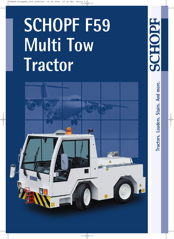# **SCHOPF F59 Multi Tow Tractor**



**Tractors. Loaders. Stairs. And more.**

Tractors. Loaders. Stairs. And more.